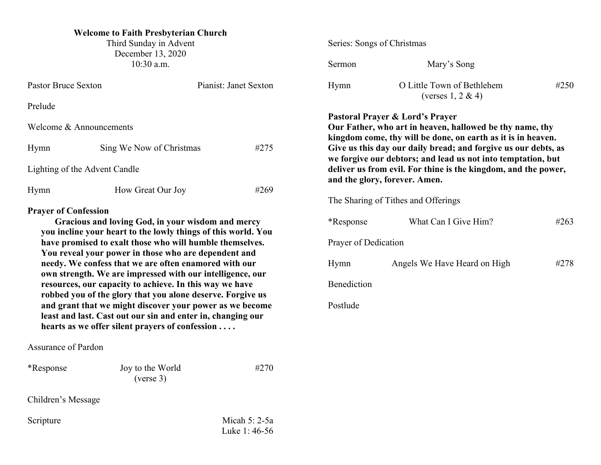# **Welcome to Faith Presbyterian Church**

Third Sunday in Advent December 13, 2020 10:30 a.m.

| <b>Pastor Bruce Sexton</b>    |                          | Pianist: Janet Sexton |  |
|-------------------------------|--------------------------|-----------------------|--|
| Prelude                       |                          |                       |  |
| Welcome $\&$ Announcements    |                          |                       |  |
| Hymn                          | Sing We Now of Christmas | #275                  |  |
| Lighting of the Advent Candle |                          |                       |  |
| Hymn                          | How Great Our Joy        | #269                  |  |
| <b>Prayer of Confession</b>   |                          |                       |  |

**Gracious and loving God, in your wisdom and mercy you incline your heart to the lowly things of this world. You have promised to exalt those who will humble themselves. You reveal your power in those who are dependent and needy. We confess that we are often enamored with our own strength. We are impressed with our intelligence, our resources, our capacity to achieve. In this way we have robbed you of the glory that you alone deserve. Forgive us and grant that we might discover your power as we become least and last. Cast out our sin and enter in, changing our hearts as we offer silent prayers of confession . . . .** 

Assurance of Pardon

| *Response          | Joy to the World<br>(verse 3) | #270 |
|--------------------|-------------------------------|------|
| Children's Message |                               |      |
|                    |                               |      |

Scripture Micah 5: 2-5a Luke 1: 46-56 Series: Songs of Christmas

| Sermon                                                                                                                                                                                                                                                                                                                                                                                           | Mary's Song                                         |      |  |  |
|--------------------------------------------------------------------------------------------------------------------------------------------------------------------------------------------------------------------------------------------------------------------------------------------------------------------------------------------------------------------------------------------------|-----------------------------------------------------|------|--|--|
| Hymn                                                                                                                                                                                                                                                                                                                                                                                             | O Little Town of Bethlehem<br>(verses $1, 2 \& 4$ ) | #250 |  |  |
| Pastoral Prayer & Lord's Prayer<br>Our Father, who art in heaven, hallowed be thy name, thy<br>kingdom come, thy will be done, on earth as it is in heaven.<br>Give us this day our daily bread; and forgive us our debts, as<br>we forgive our debtors; and lead us not into temptation, but<br>deliver us from evil. For thine is the kingdom, and the power,<br>and the glory, forever. Amen. |                                                     |      |  |  |
| The Sharing of Tithes and Offerings                                                                                                                                                                                                                                                                                                                                                              |                                                     |      |  |  |
| <i>*</i> Response                                                                                                                                                                                                                                                                                                                                                                                | What Can I Give Him?                                | #263 |  |  |
| Prayer of Dedication                                                                                                                                                                                                                                                                                                                                                                             |                                                     |      |  |  |
| Hymn                                                                                                                                                                                                                                                                                                                                                                                             | Angels We Have Heard on High                        | #278 |  |  |
| <b>Benediction</b>                                                                                                                                                                                                                                                                                                                                                                               |                                                     |      |  |  |
| Postlude                                                                                                                                                                                                                                                                                                                                                                                         |                                                     |      |  |  |